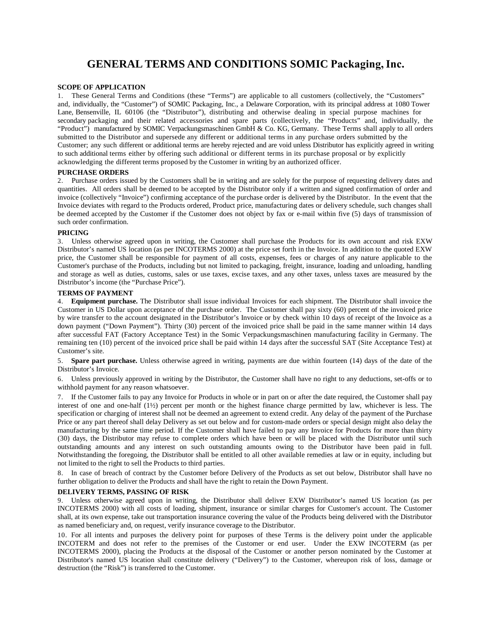# **GENERAL TERMS AND CONDITIONS SOMIC Packaging, Inc.**

# **SCOPE OF APPLICATION**

1. These General Terms and Conditions (these "Terms") are applicable to all customers (collectively, the "Customers" and, individually, the "Customer") of SOMIC Packaging, Inc., a Delaware Corporation, with its principal address at 1080 Tower Lane, Bensenville, IL 60106 (the "Distributor"), distributing and otherwise dealing in special purpose machines for secondary packaging and their related accessories and spare parts (collectively, the "Products" and, individually, the "Product") manufactured by SOMIC Verpackungsmaschinen GmbH & Co. KG, Germany. These Terms shall apply to all orders submitted to the Distributor and supersede any different or additional terms in any purchase orders submitted by the Customer; any such different or additional terms are hereby rejected and are void unless Distributor has explicitly agreed in writing to such additional terms either by offering such additional or different terms in its purchase proposal or by explicitly acknowledging the different terms proposed by the Customer in writing by an authorized officer.

# **PURCHASE ORDERS**

2. Purchase orders issued by the Customers shall be in writing and are solely for the purpose of requesting delivery dates and quantities. All orders shall be deemed to be accepted by the Distributor only if a written and signed confirmation of order and invoice (collectively "Invoice") confirming acceptance of the purchase order is delivered by the Distributor. In the event that the Invoice deviates with regard to the Products ordered, Product price, manufacturing dates or delivery schedule, such changes shall be deemed accepted by the Customer if the Customer does not object by fax or e-mail within five (5) days of transmission of such order confirmation.

#### **PRICING**

3. Unless otherwise agreed upon in writing, the Customer shall purchase the Products for its own account and risk EXW Distributor's named US location (as per INCOTERMS 2000) at the price set forth in the Invoice. In addition to the quoted EXW price, the Customer shall be responsible for payment of all costs, expenses, fees or charges of any nature applicable to the Customer's purchase of the Products, including but not limited to packaging, freight, insurance, loading and unloading, handling and storage as well as duties, customs, sales or use taxes, excise taxes, and any other taxes, unless taxes are measured by the Distributor's income (the "Purchase Price").

#### **TERMS OF PAYMENT**

4. **Equipment purchase.** The Distributor shall issue individual Invoices for each shipment. The Distributor shall invoice the Customer in US Dollar upon acceptance of the purchase order. The Customer shall pay sixty (60) percent of the invoiced price by wire transfer to the account designated in the Distributor's Invoice or by check within 10 days of receipt of the Invoice as a down payment ("Down Payment"). Thirty (30) percent of the invoiced price shall be paid in the same manner within 14 days after successful FAT (Factory Acceptance Test) in the Somic Verpackungsmaschinen manufacturing facility in Germany. The remaining ten (10) percent of the invoiced price shall be paid within 14 days after the successful SAT (Site Acceptance Test) at Customer's site.

5. **Spare part purchase.** Unless otherwise agreed in writing, payments are due within fourteen (14) days of the date of the Distributor's Invoice.

6. Unless previously approved in writing by the Distributor, the Customer shall have no right to any deductions, set-offs or to withhold payment for any reason whatsoever.

7. If the Customer fails to pay any Invoice for Products in whole or in part on or after the date required, the Customer shall pay interest of one and one-half (1½) percent per month or the highest finance charge permitted by law, whichever is less. The specification or charging of interest shall not be deemed an agreement to extend credit. Any delay of the payment of the Purchase Price or any part thereof shall delay Delivery as set out below and for custom-made orders or special design might also delay the manufacturing by the same time period. If the Customer shall have failed to pay any Invoice for Products for more than thirty (30) days, the Distributor may refuse to complete orders which have been or will be placed with the Distributor until such outstanding amounts and any interest on such outstanding amounts owing to the Distributor have been paid in full. Notwithstanding the foregoing, the Distributor shall be entitled to all other available remedies at law or in equity, including but not limited to the right to sell the Products to third parties.

8. In case of breach of contract by the Customer before Delivery of the Products as set out below, Distributor shall have no further obligation to deliver the Products and shall have the right to retain the Down Payment.

# **DELIVERY TERMS, PASSING OF RISK**

9. Unless otherwise agreed upon in writing, the Distributor shall deliver EXW Distributor's named US location (as per INCOTERMS 2000) with all costs of loading, shipment, insurance or similar charges for Customer's account. The Customer shall, at its own expense, take out transportation insurance covering the value of the Products being delivered with the Distributor as named beneficiary and, on request, verify insurance coverage to the Distributor.

10. For all intents and purposes the delivery point for purposes of these Terms is the delivery point under the applicable INCOTERM and does not refer to the premises of the Customer or end user. Under the EXW INCOTERM (as per INCOTERMS 2000), placing the Products at the disposal of the Customer or another person nominated by the Customer at Distributor's named US location shall constitute delivery ("Delivery") to the Customer, whereupon risk of loss, damage or destruction (the "Risk") is transferred to the Customer.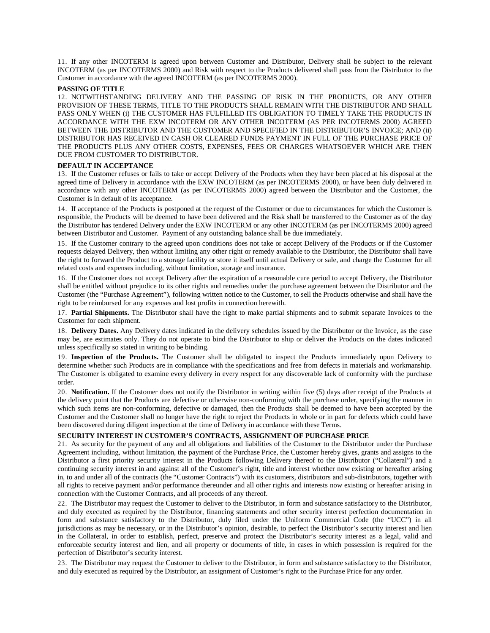11. If any other INCOTERM is agreed upon between Customer and Distributor, Delivery shall be subject to the relevant INCOTERM (as per INCOTERMS 2000) and Risk with respect to the Products delivered shall pass from the Distributor to the Customer in accordance with the agreed INCOTERM (as per INCOTERMS 2000).

#### **PASSING OF TITLE**

12. NOTWITHSTANDING DELIVERY AND THE PASSING OF RISK IN THE PRODUCTS, OR ANY OTHER PROVISION OF THESE TERMS, TITLE TO THE PRODUCTS SHALL REMAIN WITH THE DISTRIBUTOR AND SHALL PASS ONLY WHEN (i) THE CUSTOMER HAS FULFILLED ITS OBLIGATION TO TIMELY TAKE THE PRODUCTS IN ACCORDANCE WITH THE EXW INCOTERM OR ANY OTHER INCOTERM (AS PER INCOTERMS 2000) AGREED BETWEEN THE DISTRIBUTOR AND THE CUSTOMER AND SPECIFIED IN THE DISTRIBUTOR'S INVOICE; AND (ii) DISTRIBUTOR HAS RECEIVED IN CASH OR CLEARED FUNDS PAYMENT IN FULL OF THE PURCHASE PRICE OF THE PRODUCTS PLUS ANY OTHER COSTS, EXPENSES, FEES OR CHARGES WHATSOEVER WHICH ARE THEN DUE FROM CUSTOMER TO DISTRIBUTOR.

#### **DEFAULT IN ACCEPTANCE**

13. If the Customer refuses or fails to take or accept Delivery of the Products when they have been placed at his disposal at the agreed time of Delivery in accordance with the EXW INCOTERM (as per INCOTERMS 2000), or have been duly delivered in accordance with any other INCOTERM (as per INCOTERMS 2000) agreed between the Distributor and the Customer, the Customer is in default of its acceptance.

14. If acceptance of the Products is postponed at the request of the Customer or due to circumstances for which the Customer is responsible, the Products will be deemed to have been delivered and the Risk shall be transferred to the Customer as of the day the Distributor has tendered Delivery under the EXW INCOTERM or any other INCOTERM (as per INCOTERMS 2000) agreed between Distributor and Customer. Payment of any outstanding balance shall be due immediately.

15. If the Customer contrary to the agreed upon conditions does not take or accept Delivery of the Products or if the Customer requests delayed Delivery, then without limiting any other right or remedy available to the Distributor, the Distributor shall have the right to forward the Product to a storage facility or store it itself until actual Delivery or sale, and charge the Customer for all related costs and expenses including, without limitation, storage and insurance.

16. If the Customer does not accept Delivery after the expiration of a reasonable cure period to accept Delivery, the Distributor shall be entitled without prejudice to its other rights and remedies under the purchase agreement between the Distributor and the Customer (the "Purchase Agreement"), following written notice to the Customer, to sell the Products otherwise and shall have the right to be reimbursed for any expenses and lost profits in connection herewith.

17. **Partial Shipments.** The Distributor shall have the right to make partial shipments and to submit separate Invoices to the Customer for each shipment.

18. **Delivery Dates.** Any Delivery dates indicated in the delivery schedules issued by the Distributor or the Invoice, as the case may be, are estimates only. They do not operate to bind the Distributor to ship or deliver the Products on the dates indicated unless specifically so stated in writing to be binding.

19. **Inspection of the Products.** The Customer shall be obligated to inspect the Products immediately upon Delivery to determine whether such Products are in compliance with the specifications and free from defects in materials and workmanship. The Customer is obligated to examine every delivery in every respect for any discoverable lack of conformity with the purchase order.

20. **Notification.** If the Customer does not notify the Distributor in writing within five (5) days after receipt of the Products at the delivery point that the Products are defective or otherwise non-conforming with the purchase order, specifying the manner in which such items are non-conforming, defective or damaged, then the Products shall be deemed to have been accepted by the Customer and the Customer shall no longer have the right to reject the Products in whole or in part for defects which could have been discovered during diligent inspection at the time of Delivery in accordance with these Terms.

# **SECURITY INTEREST IN CUSTOMER'S CONTRACTS, ASSIGNMENT OF PURCHASE PRICE**

21. As security for the payment of any and all obligations and liabilities of the Customer to the Distributor under the Purchase Agreement including, without limitation, the payment of the Purchase Price, the Customer hereby gives, grants and assigns to the Distributor a first priority security interest in the Products following Delivery thereof to the Distributor ("Collateral") and a continuing security interest in and against all of the Customer's right, title and interest whether now existing or hereafter arising in, to and under all of the contracts (the "Customer Contracts") with its customers, distributors and sub-distributors, together with all rights to receive payment and/or performance thereunder and all other rights and interests now existing or hereafter arising in connection with the Customer Contracts, and all proceeds of any thereof.

22. The Distributor may request the Customer to deliver to the Distributor, in form and substance satisfactory to the Distributor, and duly executed as required by the Distributor, financing statements and other security interest perfection documentation in form and substance satisfactory to the Distributor, duly filed under the Uniform Commercial Code (the "UCC") in all jurisdictions as may be necessary, or in the Distributor's opinion, desirable, to perfect the Distributor's security interest and lien in the Collateral, in order to establish, perfect, preserve and protect the Distributor's security interest as a legal, valid and enforceable security interest and lien, and all property or documents of title, in cases in which possession is required for the perfection of Distributor's security interest.

23. The Distributor may request the Customer to deliver to the Distributor, in form and substance satisfactory to the Distributor, and duly executed as required by the Distributor, an assignment of Customer's right to the Purchase Price for any order.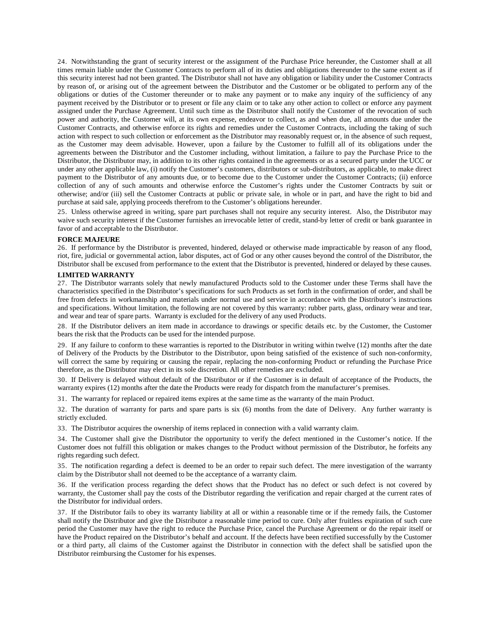24. Notwithstanding the grant of security interest or the assignment of the Purchase Price hereunder, the Customer shall at all times remain liable under the Customer Contracts to perform all of its duties and obligations thereunder to the same extent as if this security interest had not been granted. The Distributor shall not have any obligation or liability under the Customer Contracts by reason of, or arising out of the agreement between the Distributor and the Customer or be obligated to perform any of the obligations or duties of the Customer thereunder or to make any payment or to make any inquiry of the sufficiency of any payment received by the Distributor or to present or file any claim or to take any other action to collect or enforce any payment assigned under the Purchase Agreement. Until such time as the Distributor shall notify the Customer of the revocation of such power and authority, the Customer will, at its own expense, endeavor to collect, as and when due, all amounts due under the Customer Contracts, and otherwise enforce its rights and remedies under the Customer Contracts, including the taking of such action with respect to such collection or enforcement as the Distributor may reasonably request or, in the absence of such request, as the Customer may deem advisable. However, upon a failure by the Customer to fulfill all of its obligations under the agreements between the Distributor and the Customer including, without limitation, a failure to pay the Purchase Price to the Distributor, the Distributor may, in addition to its other rights contained in the agreements or as a secured party under the UCC or under any other applicable law, (i) notify the Customer's customers, distributors or sub-distributors, as applicable, to make direct payment to the Distributor of any amounts due, or to become due to the Customer under the Customer Contracts; (ii) enforce collection of any of such amounts and otherwise enforce the Customer's rights under the Customer Contracts by suit or otherwise; and/or (iii) sell the Customer Contracts at public or private sale, in whole or in part, and have the right to bid and purchase at said sale, applying proceeds therefrom to the Customer's obligations hereunder.

25. Unless otherwise agreed in writing, spare part purchases shall not require any security interest. Also, the Distributor may waive such security interest if the Customer furnishes an irrevocable letter of credit, stand-by letter of credit or bank guarantee in favor of and acceptable to the Distributor.

#### **FORCE MAJEURE**

26. If performance by the Distributor is prevented, hindered, delayed or otherwise made impracticable by reason of any flood, riot, fire, judicial or governmental action, labor disputes, act of God or any other causes beyond the control of the Distributor, the Distributor shall be excused from performance to the extent that the Distributor is prevented, hindered or delayed by these causes.

### **LIMITED WARRANTY**

27. The Distributor warrants solely that newly manufactured Products sold to the Customer under these Terms shall have the characteristics specified in the Distributor's specifications for such Products as set forth in the confirmation of order, and shall be free from defects in workmanship and materials under normal use and service in accordance with the Distributor's instructions and specifications. Without limitation, the following are not covered by this warranty: rubber parts, glass, ordinary wear and tear, and wear and tear of spare parts. Warranty is excluded for the delivery of any used Products.

28. If the Distributor delivers an item made in accordance to drawings or specific details etc. by the Customer, the Customer bears the risk that the Products can be used for the intended purpose.

29. If any failure to conform to these warranties is reported to the Distributor in writing within twelve (12) months after the date of Delivery of the Products by the Distributor to the Distributor, upon being satisfied of the existence of such non-conformity, will correct the same by requiring or causing the repair, replacing the non-conforming Product or refunding the Purchase Price therefore, as the Distributor may elect in its sole discretion. All other remedies are excluded.

30. If Delivery is delayed without default of the Distributor or if the Customer is in default of acceptance of the Products, the warranty expires (12) months after the date the Products were ready for dispatch from the manufacturer's premises.

31. The warranty for replaced or repaired items expires at the same time as the warranty of the main Product.

32. The duration of warranty for parts and spare parts is six (6) months from the date of Delivery. Any further warranty is strictly excluded.

33. The Distributor acquires the ownership of items replaced in connection with a valid warranty claim.

34. The Customer shall give the Distributor the opportunity to verify the defect mentioned in the Customer's notice. If the Customer does not fulfill this obligation or makes changes to the Product without permission of the Distributor, he forfeits any rights regarding such defect.

35. The notification regarding a defect is deemed to be an order to repair such defect. The mere investigation of the warranty claim by the Distributor shall not deemed to be the acceptance of a warranty claim.

36. If the verification process regarding the defect shows that the Product has no defect or such defect is not covered by warranty, the Customer shall pay the costs of the Distributor regarding the verification and repair charged at the current rates of the Distributor for individual orders.

37. If the Distributor fails to obey its warranty liability at all or within a reasonable time or if the remedy fails, the Customer shall notify the Distributor and give the Distributor a reasonable time period to cure. Only after fruitless expiration of such cure period the Customer may have the right to reduce the Purchase Price, cancel the Purchase Agreement or do the repair itself or have the Product repaired on the Distributor's behalf and account. If the defects have been rectified successfully by the Customer or a third party, all claims of the Customer against the Distributor in connection with the defect shall be satisfied upon the Distributor reimbursing the Customer for his expenses.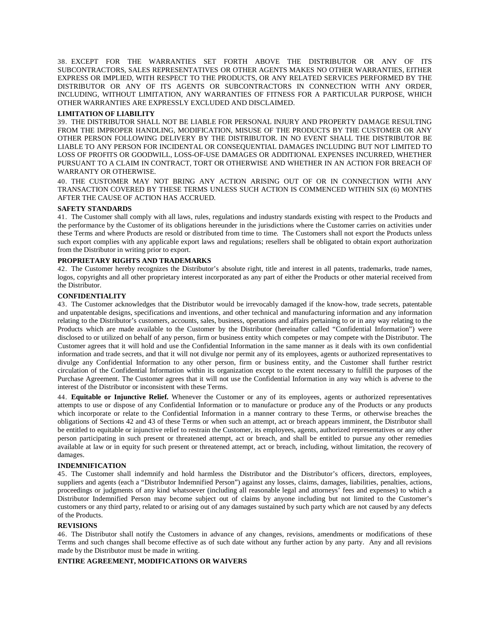38. EXCEPT FOR THE WARRANTIES SET FORTH ABOVE THE DISTRIBUTOR OR ANY OF ITS SUBCONTRACTORS, SALES REPRESENTATIVES OR OTHER AGENTS MAKES NO OTHER WARRANTIES, EITHER EXPRESS OR IMPLIED, WITH RESPECT TO THE PRODUCTS, OR ANY RELATED SERVICES PERFORMED BY THE DISTRIBUTOR OR ANY OF ITS AGENTS OR SUBCONTRACTORS IN CONNECTION WITH ANY ORDER, INCLUDING, WITHOUT LIMITATION, ANY WARRANTIES OF FITNESS FOR A PARTICULAR PURPOSE, WHICH OTHER WARRANTIES ARE EXPRESSLY EXCLUDED AND DISCLAIMED.

# **LIMITATION OF LIABILITY**

39. THE DISTRIBUTOR SHALL NOT BE LIABLE FOR PERSONAL INJURY AND PROPERTY DAMAGE RESULTING FROM THE IMPROPER HANDLING, MODIFICATION, MISUSE OF THE PRODUCTS BY THE CUSTOMER OR ANY OTHER PERSON FOLLOWING DELIVERY BY THE DISTRIBUTOR. IN NO EVENT SHALL THE DISTRIBUTOR BE LIABLE TO ANY PERSON FOR INCIDENTAL OR CONSEQUENTIAL DAMAGES INCLUDING BUT NOT LIMITED TO LOSS OF PROFITS OR GOODWILL, LOSS-OF-USE DAMAGES OR ADDITIONAL EXPENSES INCURRED, WHETHER PURSUANT TO A CLAIM IN CONTRACT, TORT OR OTHERWISE AND WHETHER IN AN ACTION FOR BREACH OF WARRANTY OR OTHERWISE.

40. THE CUSTOMER MAY NOT BRING ANY ACTION ARISING OUT OF OR IN CONNECTION WITH ANY TRANSACTION COVERED BY THESE TERMS UNLESS SUCH ACTION IS COMMENCED WITHIN SIX (6) MONTHS AFTER THE CAUSE OF ACTION HAS ACCRUED.

# **SAFETY STANDARDS**

41. The Customer shall comply with all laws, rules, regulations and industry standards existing with respect to the Products and the performance by the Customer of its obligations hereunder in the jurisdictions where the Customer carries on activities under these Terms and where Products are resold or distributed from time to time. The Customers shall not export the Products unless such export complies with any applicable export laws and regulations; resellers shall be obligated to obtain export authorization from the Distributor in writing prior to export.

# **PROPRIETARY RIGHTS AND TRADEMARKS**

42. The Customer hereby recognizes the Distributor's absolute right, title and interest in all patents, trademarks, trade names, logos, copyrights and all other proprietary interest incorporated as any part of either the Products or other material received from the Distributor.

# **CONFIDENTIALITY**

43. The Customer acknowledges that the Distributor would be irrevocably damaged if the know-how, trade secrets, patentable and unpatentable designs, specifications and inventions, and other technical and manufacturing information and any information relating to the Distributor's customers, accounts, sales, business, operations and affairs pertaining to or in any way relating to the Products which are made available to the Customer by the Distributor (hereinafter called "Confidential Information") were disclosed to or utilized on behalf of any person, firm or business entity which competes or may compete with the Distributor. The Customer agrees that it will hold and use the Confidential Information in the same manner as it deals with its own confidential information and trade secrets, and that it will not divulge nor permit any of its employees, agents or authorized representatives to divulge any Confidential Information to any other person, firm or business entity, and the Customer shall further restrict circulation of the Confidential Information within its organization except to the extent necessary to fulfill the purposes of the Purchase Agreement. The Customer agrees that it will not use the Confidential Information in any way which is adverse to the interest of the Distributor or inconsistent with these Terms.

44. **Equitable or Injunctive Relief.** Whenever the Customer or any of its employees, agents or authorized representatives attempts to use or dispose of any Confidential Information or to manufacture or produce any of the Products or any products which incorporate or relate to the Confidential Information in a manner contrary to these Terms, or otherwise breaches the obligations of Sections 42 and 43 of these Terms or when such an attempt, act or breach appears imminent, the Distributor shall be entitled to equitable or injunctive relief to restrain the Customer, its employees, agents, authorized representatives or any other person participating in such present or threatened attempt, act or breach, and shall be entitled to pursue any other remedies available at law or in equity for such present or threatened attempt, act or breach, including, without limitation, the recovery of damages.

### **INDEMNIFICATION**

45. The Customer shall indemnify and hold harmless the Distributor and the Distributor's officers, directors, employees, suppliers and agents (each a "Distributor Indemnified Person") against any losses, claims, damages, liabilities, penalties, actions, proceedings or judgments of any kind whatsoever (including all reasonable legal and attorneys' fees and expenses) to which a Distributor Indemnified Person may become subject out of claims by anyone including but not limited to the Customer's customers or any third party, related to or arising out of any damages sustained by such party which are not caused by any defects of the Products.

#### **REVISIONS**

46. The Distributor shall notify the Customers in advance of any changes, revisions, amendments or modifications of these Terms and such changes shall become effective as of such date without any further action by any party. Any and all revisions made by the Distributor must be made in writing.

#### **ENTIRE AGREEMENT, MODIFICATIONS OR WAIVERS**